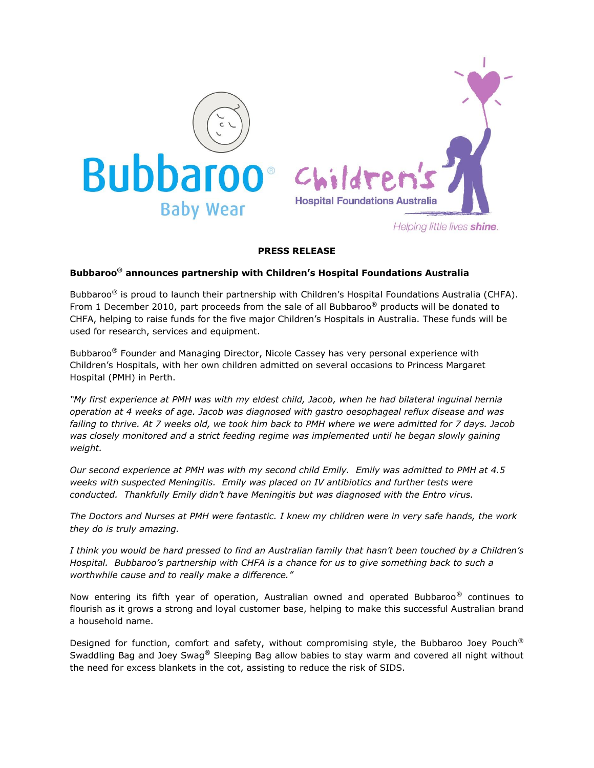



## **PRESS RELEASE**

## **Bubbaroo® announces partnership with Children's Hospital Foundations Australia**

Bubbaroo<sup>®</sup> is proud to launch their partnership with Children's Hospital Foundations Australia (CHFA). From 1 December 2010, part proceeds from the sale of all Bubbaroo® products will be donated to CHFA, helping to raise funds for the five major Children's Hospitals in Australia. These funds will be used for research, services and equipment.

Bubbaroo<sup>®</sup> Founder and Managing Director, Nicole Cassey has very personal experience with Children's Hospitals, with her own children admitted on several occasions to Princess Margaret Hospital (PMH) in Perth.

*"My first experience at PMH was with my eldest child, Jacob, when he had bilateral inguinal hernia operation at 4 weeks of age. Jacob was diagnosed with gastro oesophageal reflux disease and was failing to thrive. At 7 weeks old, we took him back to PMH where we were admitted for 7 days. Jacob was closely monitored and a strict feeding regime was implemented until he began slowly gaining weight.*

*Our second experience at PMH was with my second child Emily. Emily was admitted to PMH at 4.5 weeks with suspected Meningitis. Emily was placed on IV antibiotics and further tests were conducted. Thankfully Emily didn't have Meningitis but was diagnosed with the Entro virus.*

*The Doctors and Nurses at PMH were fantastic. I knew my children were in very safe hands, the work they do is truly amazing.*

*I think you would be hard pressed to find an Australian family that hasn't been touched by a Children's Hospital. Bubbaroo's partnership with CHFA is a chance for us to give something back to such a worthwhile cause and to really make a difference."*

Now entering its fifth year of operation, Australian owned and operated Bubbaroo® continues to flourish as it grows a strong and loyal customer base, helping to make this successful Australian brand a household name.

Designed for function, comfort and safety, without compromising style, the Bubbaroo Joey Pouch<sup>®</sup> Swaddling Bag and Joey Swag® Sleeping Bag allow babies to stay warm and covered all night without the need for excess blankets in the cot, assisting to reduce the risk of SIDS.